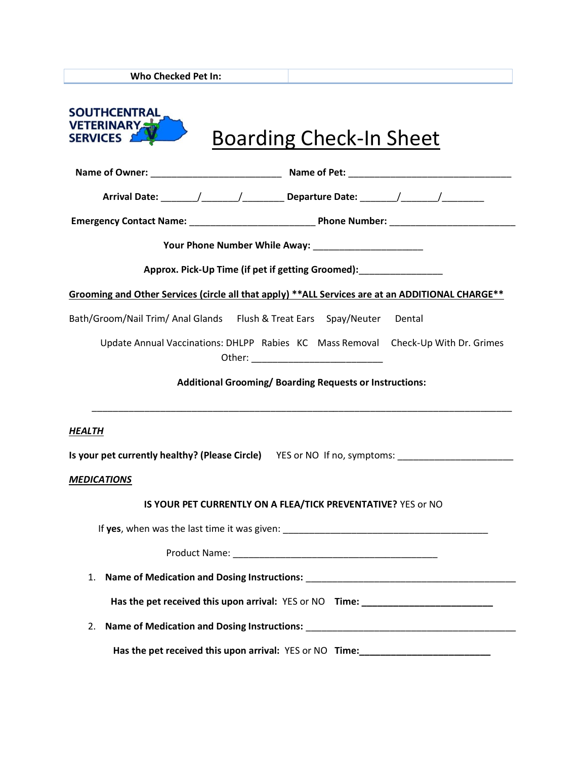**Who Checked Pet In:**

| <b>SOUTHCENTRAL</b><br><b>VETERINARY</b><br><b>Boarding Check-In Sheet</b><br>SERVICES <b>ALL</b>   |  |  |  |  |
|-----------------------------------------------------------------------------------------------------|--|--|--|--|
|                                                                                                     |  |  |  |  |
|                                                                                                     |  |  |  |  |
|                                                                                                     |  |  |  |  |
|                                                                                                     |  |  |  |  |
| Approx. Pick-Up Time (if pet if getting Groomed):                                                   |  |  |  |  |
| Grooming and Other Services (circle all that apply) **ALL Services are at an ADDITIONAL CHARGE**    |  |  |  |  |
| Bath/Groom/Nail Trim/ Anal Glands Flush & Treat Ears Spay/Neuter Dental                             |  |  |  |  |
| Update Annual Vaccinations: DHLPP Rabies KC Mass Removal Check-Up With Dr. Grimes                   |  |  |  |  |
| Additional Grooming/Boarding Requests or Instructions:                                              |  |  |  |  |
| <b>HEALTH</b>                                                                                       |  |  |  |  |
| Is your pet currently healthy? (Please Circle) YES or NO If no, symptoms: _________________________ |  |  |  |  |
| <b>MEDICATIONS</b>                                                                                  |  |  |  |  |
| IS YOUR PET CURRENTLY ON A FLEA/TICK PREVENTATIVE? YES or NO                                        |  |  |  |  |
| If yes, when was the last time it was given:                                                        |  |  |  |  |
|                                                                                                     |  |  |  |  |
| 1.                                                                                                  |  |  |  |  |
| Has the pet received this upon arrival: YES or NO Time: ________________________                    |  |  |  |  |
| 2.                                                                                                  |  |  |  |  |
| Has the pet received this upon arrival: YES or NO Time: ________________________                    |  |  |  |  |